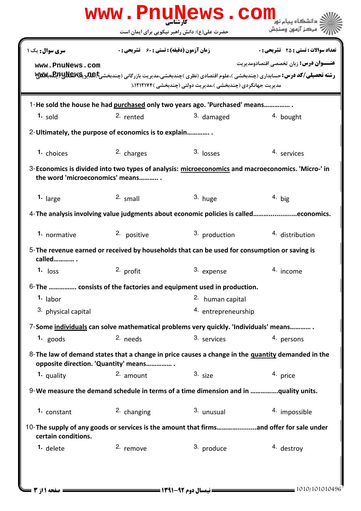| www.PnuNews.com                                                                                                                           |                                                    |                                                                                      |                                                                                                                                                                                             |  |  |  |
|-------------------------------------------------------------------------------------------------------------------------------------------|----------------------------------------------------|--------------------------------------------------------------------------------------|---------------------------------------------------------------------------------------------------------------------------------------------------------------------------------------------|--|--|--|
|                                                                                                                                           |                                                    | حضرت علی(ع): دانش راهبر نیکویی برای ایمان است                                        | مركز آزمون وسنجش                                                                                                                                                                            |  |  |  |
| سری سوال : یک ۱                                                                                                                           | <b>زمان آزمون (دقیقه) : تستی : 60 ٪ تشریحی : 0</b> |                                                                                      | <b>تعداد سوالات : تستی : 25 ۔ تشریحی : 0</b>                                                                                                                                                |  |  |  |
| www.PnuNews.com                                                                                                                           |                                                    |                                                                                      | <b>عنـــوان درس:</b> زبان تخصصي اقتصادومديريت<br><b>رشته تحصیلی/کد درس:</b> حسابداری (چندبخشی )،علوم اقتصادی (نظری )چندبخشی،مدیریت بازرگانی (چندبخشی <b>)یلیویکلیلالپلالپلالپلالپلال</b> لا |  |  |  |
|                                                                                                                                           |                                                    | مدیریت جهانگردی (چندبخشی )،مدیریت دولتی (چندبخشی )۱۲۱۲۱۷۴،(                          |                                                                                                                                                                                             |  |  |  |
| 1-He sold the house he had purchased only two years ago. 'Purchased' means                                                                |                                                    |                                                                                      |                                                                                                                                                                                             |  |  |  |
| $1.$ sold                                                                                                                                 | 2. rented                                          | 3. damaged                                                                           | 4. bought                                                                                                                                                                                   |  |  |  |
| 2- Ultimately, the purpose of economics is to explain                                                                                     |                                                    |                                                                                      |                                                                                                                                                                                             |  |  |  |
| 1. choices                                                                                                                                | 2. charges                                         | $3.$ losses                                                                          | 4. services                                                                                                                                                                                 |  |  |  |
| 3-Economics is divided into two types of analysis: microeconomics and macroeconomics. 'Micro-' in<br>the word 'microeconomics' means      |                                                    |                                                                                      |                                                                                                                                                                                             |  |  |  |
| 1. large                                                                                                                                  | $2.$ small                                         | 3. huge                                                                              | $4.$ big                                                                                                                                                                                    |  |  |  |
| 4-The analysis involving value judgments about economic policies is calledeconomics.                                                      |                                                    |                                                                                      |                                                                                                                                                                                             |  |  |  |
| 1. normative                                                                                                                              | 2. positive                                        | 3. production                                                                        | 4. distribution                                                                                                                                                                             |  |  |  |
| 5-The revenue earned or received by households that can be used for consumption or saving is<br>called                                    |                                                    |                                                                                      |                                                                                                                                                                                             |  |  |  |
| $1.$ loss                                                                                                                                 | 2. profit                                          | 3. expense                                                                           | 4. income                                                                                                                                                                                   |  |  |  |
|                                                                                                                                           |                                                    | 6-The  consists of the factories and equipment used in production.                   |                                                                                                                                                                                             |  |  |  |
| $1.$ labor                                                                                                                                |                                                    | 2. human capital                                                                     |                                                                                                                                                                                             |  |  |  |
| 3. physical capital                                                                                                                       |                                                    | 4. entrepreneurship                                                                  |                                                                                                                                                                                             |  |  |  |
|                                                                                                                                           |                                                    | 7-Some individuals can solve mathematical problems very quickly. 'Individuals' means |                                                                                                                                                                                             |  |  |  |
| 1. $goods$                                                                                                                                | 2. needs                                           | 3. services                                                                          | 4. persons                                                                                                                                                                                  |  |  |  |
| 8-The law of demand states that a change in price causes a change in the quantity demanded in the<br>opposite direction. 'Quantity' means |                                                    |                                                                                      |                                                                                                                                                                                             |  |  |  |
| 1. quality                                                                                                                                | 2. amount                                          | $3. \text{ size}$                                                                    | 4. price                                                                                                                                                                                    |  |  |  |
| 9-We measure the demand schedule in terms of a time dimension and in quality units.                                                       |                                                    |                                                                                      |                                                                                                                                                                                             |  |  |  |
| 1. constant                                                                                                                               | 2. changing                                        | 3. unusual                                                                           | 4. impossible                                                                                                                                                                               |  |  |  |
| 10-The supply of any goods or services is the amount that firmsand offer for sale under<br>certain conditions.                            |                                                    |                                                                                      |                                                                                                                                                                                             |  |  |  |
| 1. delete                                                                                                                                 | 2. remove                                          | 3. produce                                                                           | 4. destroy                                                                                                                                                                                  |  |  |  |
|                                                                                                                                           |                                                    |                                                                                      |                                                                                                                                                                                             |  |  |  |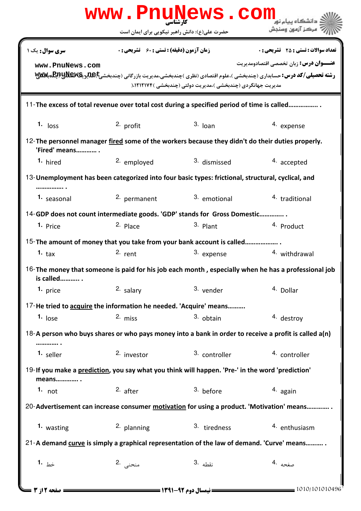|                                                                                                                     | www.PnuNews.com                                    |                                                             |                                               |  |  |  |
|---------------------------------------------------------------------------------------------------------------------|----------------------------------------------------|-------------------------------------------------------------|-----------------------------------------------|--|--|--|
|                                                                                                                     | حضرت علی(ع): دانش راهبر نیکویی برای ایمان است      |                                                             | مركز آزمون وسنجش                              |  |  |  |
| <b>سری سوال :</b> یک ۱                                                                                              | <b>زمان آزمون (دقیقه) : تستی : 60 ٪ تشریحی : 0</b> |                                                             | <b>تعداد سوالات : تستي : 25 - تشريحي : 0</b>  |  |  |  |
| www.PnuNews.com                                                                                                     |                                                    | مدیریت جهانگردی (چندبخشی )،مدیریت دولتی (چندبخشی )۱۲۱۲۱۷۴،( | <b>عنـــوان درس:</b> زبان تخصصي اقتصادومديريت |  |  |  |
| 11-The excess of total revenue over total cost during a specified period of time is called                          |                                                    |                                                             |                                               |  |  |  |
| $1.$ loss                                                                                                           | 2. profit                                          | $3.$ loan                                                   | 4. expense                                    |  |  |  |
| 12-The personnel manager fired some of the workers because they didn't do their duties properly.<br>'Fired' means . |                                                    |                                                             |                                               |  |  |  |
| 1. hired                                                                                                            | 2. employed                                        | 3. dismissed                                                | 4. accepted                                   |  |  |  |
| 13-Unemployment has been categorized into four basic types: frictional, structural, cyclical, and                   |                                                    |                                                             |                                               |  |  |  |
| 1. seasonal                                                                                                         | 2. permanent                                       | 3. emotional                                                | <sup>4</sup> traditional                      |  |  |  |
| 14-GDP does not count intermediate goods. 'GDP' stands for Gross Domestic                                           |                                                    |                                                             |                                               |  |  |  |
| 1. Price                                                                                                            | 2. Place                                           | 3. Plant                                                    | 4. Product                                    |  |  |  |
| 15-The amount of money that you take from your bank account is called                                               |                                                    |                                                             |                                               |  |  |  |
| 1. $\tan$                                                                                                           | $2.$ rent                                          | 3. expense                                                  | 4. withdrawal                                 |  |  |  |
| 16-The money that someone is paid for his job each month, especially when he has a professional job<br>is called    |                                                    |                                                             |                                               |  |  |  |
| 1. price                                                                                                            | 2. salary                                          | 3. vender                                                   | 4. Dollar                                     |  |  |  |
| 17-He tried to acquire the information he needed. 'Acquire' means                                                   |                                                    |                                                             |                                               |  |  |  |
| $1.$ lose                                                                                                           | 2. miss                                            | 3. obtain                                                   | 4. destroy                                    |  |  |  |
| 18-A person who buys shares or who pays money into a bank in order to receive a profit is called a(n)               |                                                    |                                                             |                                               |  |  |  |
| 1. seller                                                                                                           | 2. investor                                        | 3. controller                                               | 4. controller                                 |  |  |  |
| 19-If you make a prediction, you say what you think will happen. 'Pre-' in the word 'prediction'<br>means           |                                                    |                                                             |                                               |  |  |  |
| 1. $not$                                                                                                            | $2.$ after                                         | 3. before                                                   | 4. again                                      |  |  |  |
| 20-Advertisement can increase consumer motivation for using a product. 'Motivation' means                           |                                                    |                                                             |                                               |  |  |  |
| 1. wasting                                                                                                          | 2. planning                                        | 3. tiredness                                                | 4. enthusiasm                                 |  |  |  |
| 21-A demand curve is simply a graphical representation of the law of demand. 'Curve' means                          |                                                    |                                                             |                                               |  |  |  |
| 1. $\frac{1}{2}$                                                                                                    | منحنى .2                                           | نقطه .3                                                     | صغحه ۹۰                                       |  |  |  |
| صفحه 12ز 3                                                                                                          |                                                    | <b>= نیمسال دوم 92-1391 <del>=</del></b>                    | 1010/101010496                                |  |  |  |